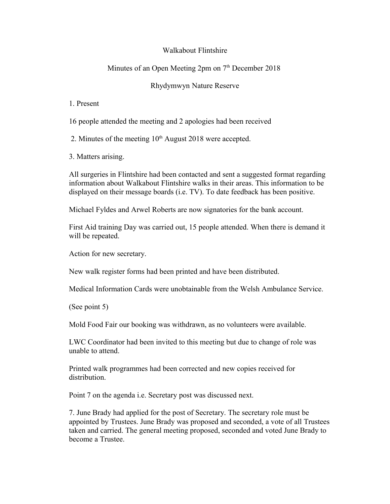## Walkabout Flintshire

## Minutes of an Open Meeting  $2<sub>pm</sub>$  on  $7<sup>th</sup>$  December 2018

## Rhydymwyn Nature Reserve

1. Present

16 people attended the meeting and 2 apologies had been received

2. Minutes of the meeting  $10<sup>th</sup>$  August 2018 were accepted.

3. Matters arising.

All surgeries in Flintshire had been contacted and sent a suggested format regarding information about Walkabout Flintshire walks in their areas. This information to be displayed on their message boards (i.e. TV). To date feedback has been positive.

Michael Fyldes and Arwel Roberts are now signatories for the bank account.

First Aid training Day was carried out, 15 people attended. When there is demand it will be repeated.

Action for new secretary.

New walk register forms had been printed and have been distributed.

Medical Information Cards were unobtainable from the Welsh Ambulance Service.

(See point 5)

Mold Food Fair our booking was withdrawn, as no volunteers were available.

LWC Coordinator had been invited to this meeting but due to change of role was unable to attend.

Printed walk programmes had been corrected and new copies received for distribution.

Point 7 on the agenda i.e. Secretary post was discussed next.

7. June Brady had applied for the post of Secretary. The secretary role must be appointed by Trustees. June Brady was proposed and seconded, a vote of all Trustees taken and carried. The general meeting proposed, seconded and voted June Brady to become a Trustee.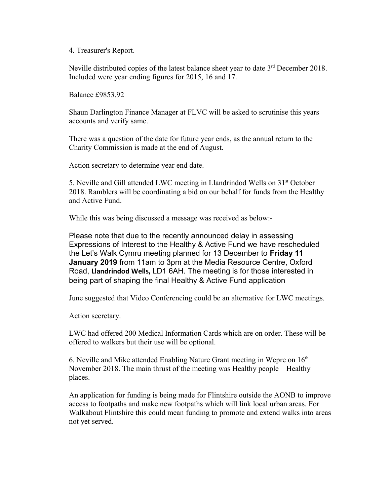## 4. Treasurer's Report.

Neville distributed copies of the latest balance sheet year to date 3<sup>rd</sup> December 2018. Included were year ending figures for 2015, 16 and 17.

Balance £9853.92

Shaun Darlington Finance Manager at FLVC will be asked to scrutinise this years accounts and verify same.

There was a question of the date for future year ends, as the annual return to the Charity Commission is made at the end of August.

Action secretary to determine year end date.

5. Neville and Gill attended LWC meeting in Llandrindod Wells on 31<sup>st</sup> October 2018. Ramblers will be coordinating a bid on our behalf for funds from the Healthy and Active Fund.

While this was being discussed a message was received as below:-

Please note that due to the recently announced delay in assessing Expressions of Interest to the Healthy & Active Fund we have rescheduled the Let's Walk Cymru meeting planned for 13 December to **Friday 11 January 2019** from 11am to 3pm at the Media Resource Centre, Oxford Road, **Llandrindod Wells,** LD1 6AH. The meeting is for those interested in being part of shaping the final Healthy & Active Fund application

June suggested that Video Conferencing could be an alternative for LWC meetings.

Action secretary.

LWC had offered 200 Medical Information Cards which are on order. These will be offered to walkers but their use will be optional.

6. Neville and Mike attended Enabling Nature Grant meeting in Wepre on  $16<sup>th</sup>$ November 2018. The main thrust of the meeting was Healthy people – Healthy places.

An application for funding is being made for Flintshire outside the AONB to improve access to footpaths and make new footpaths which will link local urban areas. For Walkabout Flintshire this could mean funding to promote and extend walks into areas not yet served.